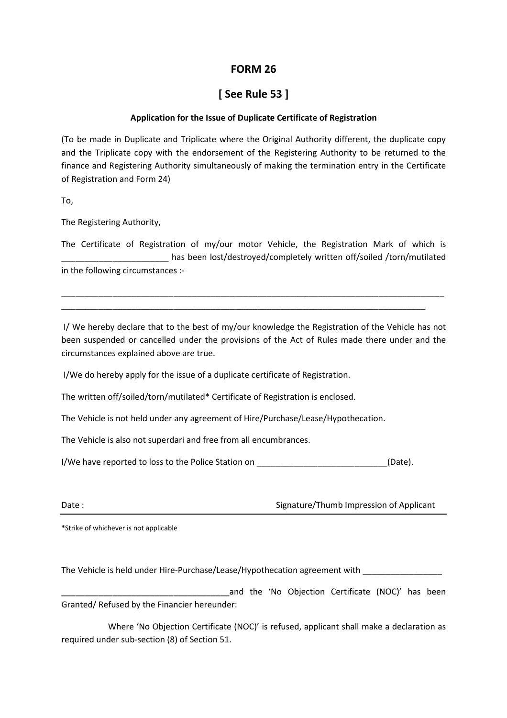## **FORM 26**

## **[ See Rule 53 ]**

## **Application for the Issue of Duplicate Certificate of Registration**

(To be made in Duplicate and Triplicate where the Original Authority different, the duplicate copy and the Triplicate copy with the endorsement of the Registering Authority to be returned to the finance and Registering Authority simultaneously of making the termination entry in the Certificate of Registration and Form 24)

To,

The Registering Authority,

The Certificate of Registration of my/our motor Vehicle, the Registration Mark of which is has been lost/destroyed/completely written off/soiled /torn/mutilated in the following circumstances :-

 I/ We hereby declare that to the best of my/our knowledge the Registration of the Vehicle has not been suspended or cancelled under the provisions of the Act of Rules made there under and the circumstances explained above are true.

\_\_\_\_\_\_\_\_\_\_\_\_\_\_\_\_\_\_\_\_\_\_\_\_\_\_\_\_\_\_\_\_\_\_\_\_\_\_\_\_\_\_\_\_\_\_\_\_\_\_\_\_\_\_\_\_\_\_\_\_\_\_\_\_\_\_\_\_\_\_\_\_\_\_\_\_\_\_

I/We do hereby apply for the issue of a duplicate certificate of Registration.

The written off/soiled/torn/mutilated\* Certificate of Registration is enclosed.

The Vehicle is not held under any agreement of Hire/Purchase/Lease/Hypothecation.

The Vehicle is also not superdari and free from all encumbrances.

I/We have reported to loss to the Police Station on  $[$  [Date).

Date : Signature/Thumb Impression of Applicant

\*Strike of whichever is not applicable

The Vehicle is held under Hire-Purchase/Lease/Hypothecation agreement with \_\_\_\_\_\_\_\_\_\_\_

\_\_\_\_\_\_\_\_\_\_\_\_\_\_\_\_\_\_\_\_\_\_\_\_\_\_\_\_\_\_\_\_\_\_\_\_and the 'No Objection Certificate (NOC)' has been Granted/ Refused by the Financier hereunder:

 Where 'No Objection Certificate (NOC)' is refused, applicant shall make a declaration as required under sub-section (8) of Section 51.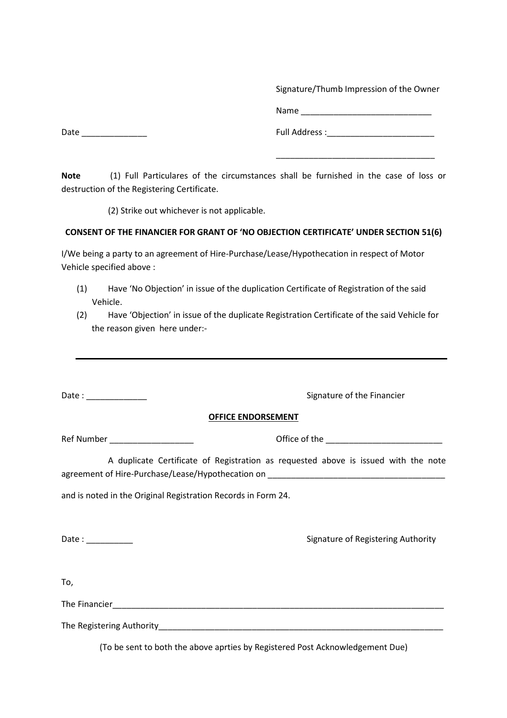Signature/Thumb Impression of the Owner

Name \_\_\_\_\_\_\_\_\_\_\_\_\_\_\_\_\_\_\_\_\_\_\_\_\_\_\_\_

Date \_\_\_\_\_\_\_\_\_\_\_\_\_\_ Full Address :\_\_\_\_\_\_\_\_\_\_\_\_\_\_\_\_\_\_\_\_\_\_\_

**Note** (1) Full Particulares of the circumstances shall be furnished in the case of loss or destruction of the Registering Certificate.

\_\_\_\_\_\_\_\_\_\_\_\_\_\_\_\_\_\_\_\_\_\_\_\_\_\_\_\_\_\_\_\_\_\_

(2) Strike out whichever is not applicable.

## **CONSENT OF THE FINANCIER FOR GRANT OF 'NO OBJECTION CERTIFICATE' UNDER SECTION 51(6)**

I/We being a party to an agreement of Hire-Purchase/Lease/Hypothecation in respect of Motor Vehicle specified above :

- (1) Have 'No Objection' in issue of the duplication Certificate of Registration of the said Vehicle.
- (2) Have 'Objection' in issue of the duplicate Registration Certificate of the said Vehicle for the reason given here under:-

| Signature of the Financier                                                                                    |
|---------------------------------------------------------------------------------------------------------------|
| <b>OFFICE ENDORSEMENT</b>                                                                                     |
| Office of the ______________________________                                                                  |
| A duplicate Certificate of Registration as requested above is issued with the note                            |
| and is noted in the Original Registration Records in Form 24.                                                 |
| Signature of Registering Authority                                                                            |
|                                                                                                               |
|                                                                                                               |
| The Registering Authority and the contract of the contract of the contract of the contract of the contract of |
|                                                                                                               |

(To be sent to both the above aprties by Registered Post Acknowledgement Due)